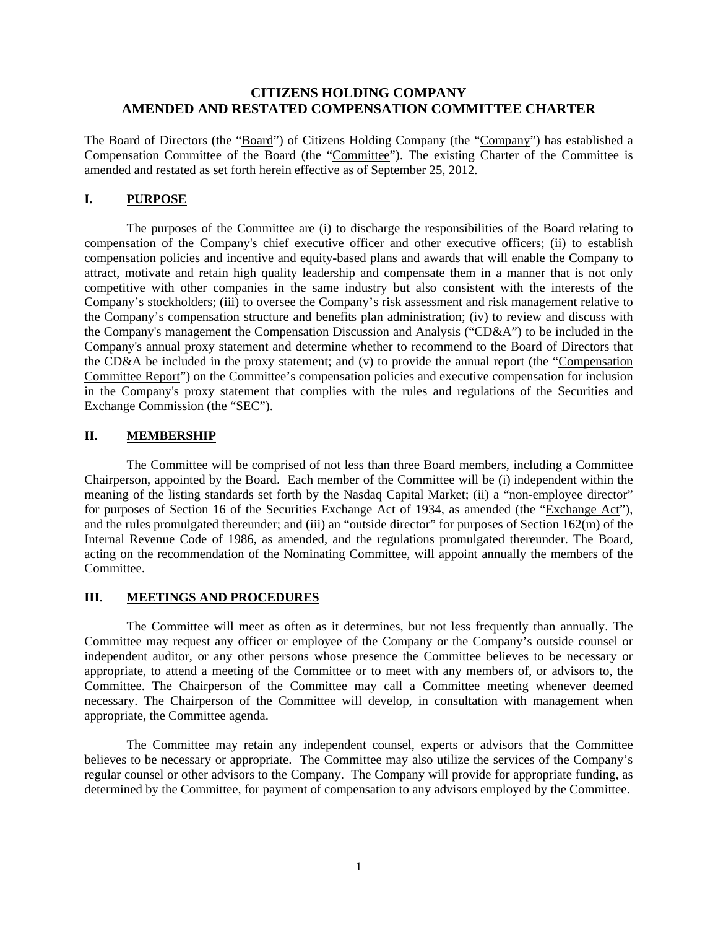## **CITIZENS HOLDING COMPANY AMENDED AND RESTATED COMPENSATION COMMITTEE CHARTER**

The Board of Directors (the "Board") of Citizens Holding Company (the "Company") has established a Compensation Committee of the Board (the "Committee"). The existing Charter of the Committee is amended and restated as set forth herein effective as of September 25, 2012.

### **I. PURPOSE**

The purposes of the Committee are (i) to discharge the responsibilities of the Board relating to compensation of the Company's chief executive officer and other executive officers; (ii) to establish compensation policies and incentive and equity-based plans and awards that will enable the Company to attract, motivate and retain high quality leadership and compensate them in a manner that is not only competitive with other companies in the same industry but also consistent with the interests of the Company's stockholders; (iii) to oversee the Company's risk assessment and risk management relative to the Company's compensation structure and benefits plan administration; (iv) to review and discuss with the Company's management the Compensation Discussion and Analysis ("CD&A") to be included in the Company's annual proxy statement and determine whether to recommend to the Board of Directors that the CD&A be included in the proxy statement; and (v) to provide the annual report (the "Compensation Committee Report") on the Committee's compensation policies and executive compensation for inclusion in the Company's proxy statement that complies with the rules and regulations of the Securities and Exchange Commission (the "SEC").

### **II. MEMBERSHIP**

The Committee will be comprised of not less than three Board members, including a Committee Chairperson, appointed by the Board. Each member of the Committee will be (i) independent within the meaning of the listing standards set forth by the Nasdaq Capital Market; (ii) a "non-employee director" for purposes of Section 16 of the Securities Exchange Act of 1934, as amended (the "Exchange Act"), and the rules promulgated thereunder; and (iii) an "outside director" for purposes of Section 162(m) of the Internal Revenue Code of 1986, as amended, and the regulations promulgated thereunder. The Board, acting on the recommendation of the Nominating Committee, will appoint annually the members of the Committee.

#### **III. MEETINGS AND PROCEDURES**

The Committee will meet as often as it determines, but not less frequently than annually. The Committee may request any officer or employee of the Company or the Company's outside counsel or independent auditor, or any other persons whose presence the Committee believes to be necessary or appropriate, to attend a meeting of the Committee or to meet with any members of, or advisors to, the Committee. The Chairperson of the Committee may call a Committee meeting whenever deemed necessary. The Chairperson of the Committee will develop, in consultation with management when appropriate, the Committee agenda.

The Committee may retain any independent counsel, experts or advisors that the Committee believes to be necessary or appropriate. The Committee may also utilize the services of the Company's regular counsel or other advisors to the Company. The Company will provide for appropriate funding, as determined by the Committee, for payment of compensation to any advisors employed by the Committee.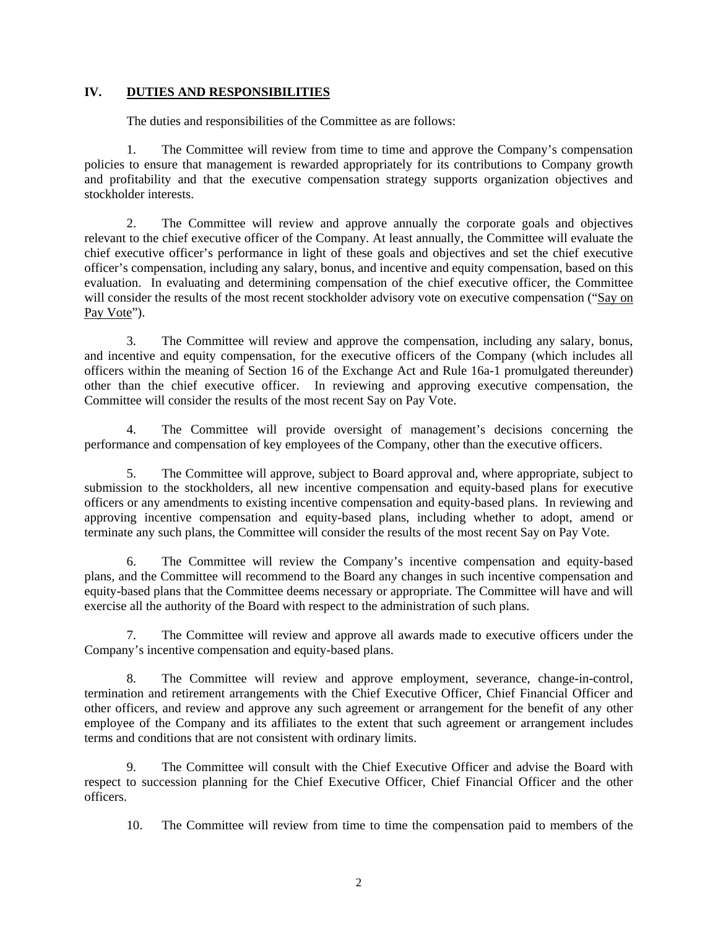# **IV. DUTIES AND RESPONSIBILITIES**

The duties and responsibilities of the Committee as are follows:

1. The Committee will review from time to time and approve the Company's compensation policies to ensure that management is rewarded appropriately for its contributions to Company growth and profitability and that the executive compensation strategy supports organization objectives and stockholder interests.

2. The Committee will review and approve annually the corporate goals and objectives relevant to the chief executive officer of the Company. At least annually, the Committee will evaluate the chief executive officer's performance in light of these goals and objectives and set the chief executive officer's compensation, including any salary, bonus, and incentive and equity compensation, based on this evaluation. In evaluating and determining compensation of the chief executive officer, the Committee will consider the results of the most recent stockholder advisory vote on executive compensation ("Say on Pay Vote").

3. The Committee will review and approve the compensation, including any salary, bonus, and incentive and equity compensation, for the executive officers of the Company (which includes all officers within the meaning of Section 16 of the Exchange Act and Rule 16a-1 promulgated thereunder) other than the chief executive officer. In reviewing and approving executive compensation, the Committee will consider the results of the most recent Say on Pay Vote.

4. The Committee will provide oversight of management's decisions concerning the performance and compensation of key employees of the Company, other than the executive officers.

5. The Committee will approve, subject to Board approval and, where appropriate, subject to submission to the stockholders, all new incentive compensation and equity-based plans for executive officers or any amendments to existing incentive compensation and equity-based plans. In reviewing and approving incentive compensation and equity-based plans, including whether to adopt, amend or terminate any such plans, the Committee will consider the results of the most recent Say on Pay Vote.

6. The Committee will review the Company's incentive compensation and equity-based plans, and the Committee will recommend to the Board any changes in such incentive compensation and equity-based plans that the Committee deems necessary or appropriate. The Committee will have and will exercise all the authority of the Board with respect to the administration of such plans.

7. The Committee will review and approve all awards made to executive officers under the Company's incentive compensation and equity-based plans.

8. The Committee will review and approve employment, severance, change-in-control, termination and retirement arrangements with the Chief Executive Officer, Chief Financial Officer and other officers, and review and approve any such agreement or arrangement for the benefit of any other employee of the Company and its affiliates to the extent that such agreement or arrangement includes terms and conditions that are not consistent with ordinary limits.

9. The Committee will consult with the Chief Executive Officer and advise the Board with respect to succession planning for the Chief Executive Officer, Chief Financial Officer and the other officers.

10. The Committee will review from time to time the compensation paid to members of the